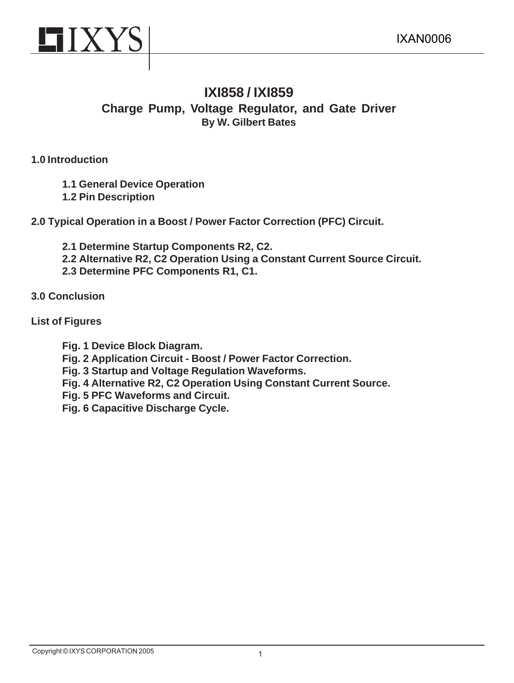

# **IXI858 / IXI859 Charge Pump, Voltage Regulator, and Gate Driver By W. Gilbert Bates**

## **1.0 Introduction**

**1.1 General Device Operation**

**1.2 Pin Description**

**2.0 Typical Operation in a Boost / Power Factor Correction (PFC) Circuit.**

- **2.1 Determine Startup Components R2, C2.**
- **2.2 Alternative R2, C2 Operation Using a Constant Current Source Circuit.**
- **2.3 Determine PFC Components R1, C1.**

# **3.0 Conclusion**

# **List of Figures**

- **Fig. 1 Device Block Diagram.**
- **Fig. 2 Application Circuit Boost / Power Factor Correction.**
- **Fig. 3 Startup and Voltage Regulation Waveforms.**
- **Fig. 4 Alternative R2, C2 Operation Using Constant Current Source.**
- **Fig. 5 PFC Waveforms and Circuit.**
- **Fig. 6 Capacitive Discharge Cycle.**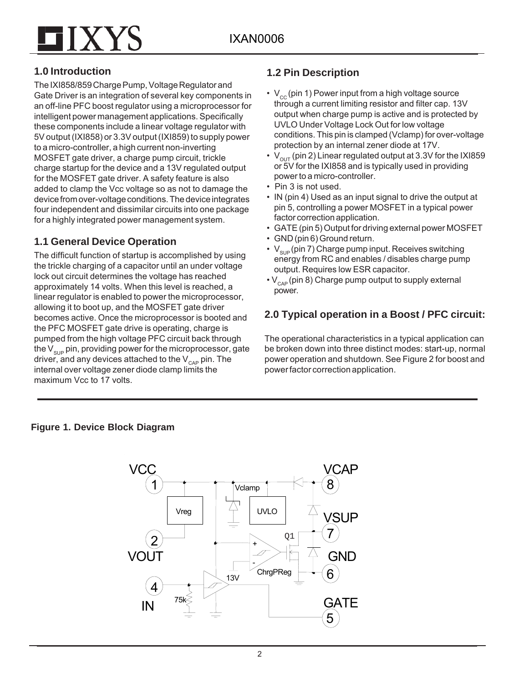

# **1.0 Introduction**

The IXI858/859 Charge Pump, Voltage Regulator and Gate Driver is an integration of several key components in an off-line PFC boost regulator using a microprocessor for intelligent power management applications. Specifically these components include a linear voltage regulator with 5V output (IXI858) or 3.3V output (IXI859) to supply power to a micro-controller, a high current non-inverting MOSFET gate driver, a charge pump circuit, trickle charge startup for the device and a 13V regulated output for the MOSFET gate driver. A safety feature is also added to clamp the Vcc voltage so as not to damage the device from over-voltage conditions. The device integrates four independent and dissimilar circuits into one package for a highly integrated power management system.

# **1.1 General Device Operation**

The difficult function of startup is accomplished by using the trickle charging of a capacitor until an under voltage lock out circuit determines the voltage has reached approximately 14 volts. When this level is reached, a linear regulator is enabled to power the microprocessor, allowing it to boot up, and the MOSFET gate driver becomes active. Once the microprocessor is booted and the PFC MOSFET gate drive is operating, charge is pumped from the high voltage PFC circuit back through the  $V_{\text{SUB}}$  pin, providing power for the microprocessor, gate driver, and any devices attached to the  $V_{\text{cap}}$  pin. The internal over voltage zener diode clamp limits the maximum Vcc to 17 volts.

# **1.2 Pin Description**

- $V_{cc}$  (pin 1) Power input from a high voltage source through a current limiting resistor and filter cap. 13V output when charge pump is active and is protected by UVLO Under Voltage Lock Out for low voltage conditions. This pin is clamped (Vclamp) for over-voltage protection by an internal zener diode at 17V.
- $V_{\text{out}}$  (pin 2) Linear regulated output at 3.3V for the IXI859 or 5V for the IXI858 and is typically used in providing power to a micro-controller.
- Pin 3 is not used.
- IN (pin 4) Used as an input signal to drive the output at pin 5, controlling a power MOSFET in a typical power factor correction application.
- GATE (pin 5) Output for driving external power MOSFET
- GND (pin 6) Ground return.
- $V_{\text{SUB}}$  (pin 7) Charge pump input. Receives switching energy from RC and enables / disables charge pump output. Requires low ESR capacitor.
- $\cdot$  V<sub>CAP</sub> (pin 8) Charge pump output to supply external power.

# **2.0 Typical operation in a Boost / PFC circuit:**

The operational characteristics in a typical application can be broken down into three distinct modes: start-up, normal power operation and shutdown. See Figure 2 for boost and power factor correction application.

## **Figure 1. Device Block Diagram**

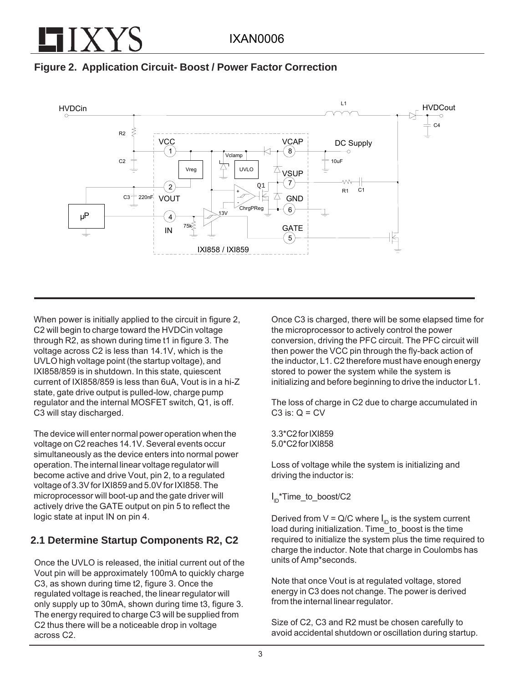



When power is initially applied to the circuit in figure 2, C2 will begin to charge toward the HVDCin voltage through R2, as shown during time t1 in figure 3. The voltage across C2 is less than 14.1V, which is the UVLO high voltage point (the startup voltage), and IXI858/859 is in shutdown. In this state, quiescent current of IXI858/859 is less than 6uA, Vout is in a hi-Z state, gate drive output is pulled-low, charge pump regulator and the internal MOSFET switch, Q1, is off. C3 will stay discharged.

The device will enter normal power operation when the voltage on C2 reaches 14.1V. Several events occur simultaneously as the device enters into normal power operation. The internal linear voltage regulator will become active and drive Vout, pin 2, to a regulated voltage of 3.3V for IXI859 and 5.0V for IXI858. The microprocessor will boot-up and the gate driver will actively drive the GATE output on pin 5 to reflect the logic state at input IN on pin 4.

# **2.1 Determine Startup Components R2, C2**

Once the UVLO is released, the initial current out of the Vout pin will be approximately 100mA to quickly charge C3, as shown during time t2, figure 3. Once the regulated voltage is reached, the linear regulator will only supply up to 30mA, shown during time t3, figure 3. The energy required to charge C3 will be supplied from C2 thus there will be a noticeable drop in voltage across C2.

Once C3 is charged, there will be some elapsed time for the microprocessor to actively control the power conversion, driving the PFC circuit. The PFC circuit will then power the VCC pin through the fly-back action of the inductor, L1. C2 therefore must have enough energy stored to power the system while the system is initializing and before beginning to drive the inductor L1.

The loss of charge in C2 due to charge accumulated in C3 is:  $Q = CV$ 

3.3\*C2 for IXI859 5.0\*C2 for IXI858

Loss of voltage while the system is initializing and driving the inductor is:

# I<sub>ID</sub>\*Time\_to\_boost/C2

Derived from V = Q/C where  $I_{\textrm{\tiny ID}}$  is the system current load during initialization. Time to boost is the time required to initialize the system plus the time required to charge the inductor. Note that charge in Coulombs has units of Amp\*seconds.

Note that once Vout is at regulated voltage, stored energy in C3 does not change. The power is derived from the internal linear regulator.

Size of C2, C3 and R2 must be chosen carefully to avoid accidental shutdown or oscillation during startup.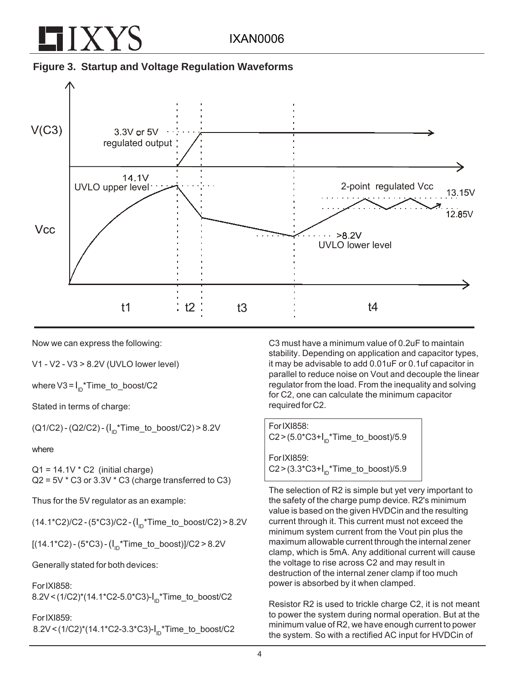



Now we can express the following:

V1 - V2 - V3 > 8.2V (UVLO lower level)

where V3 = I<sub>ID</sub>\*Time\_to\_boost/C2

Stated in terms of charge:

 $(Q1/C2) - (Q2/C2) - (I_{\text{in}}$ \*Time\_to\_boost/C2) > 8.2V

where

 $Q1 = 14.1V * C2$  (initial charge)  $Q2 = 5V * C3$  or 3.3V  $* C3$  (charge transferred to C3)

Thus for the 5V regulator as an example:

 $(14.1*C2)/C2 - (5*C3)/C2 - (I<sub>ID</sub>*Time_to-book/C2) > 8.2V$ 

 $[(14.1^*C2) - (5^*C3) - (I_{\text{in}}^*Time_to\_boost)]/C2 > 8.2V$ 

Generally stated for both devices:

For IXI858:

8.2V<(1/C2)\*(14.1\*C2-5.0\*C3)-l<sub>ip</sub>\*Time\_to\_boost/C2

For IXI859:

 $8.2V < (1/C2)^*(14.1*C2-3.3*C3) - I_D*Time_to_boot/C2$ 

C3 must have a minimum value of 0.2uF to maintain stability. Depending on application and capacitor types, it may be advisable to add 0.01uF or 0.1uf capacitor in parallel to reduce noise on Vout and decouple the linear regulator from the load. From the inequality and solving for C2, one can calculate the minimum capacitor required for C2.

For IXI858: C2>(5.0\*C3+I<sub>ID</sub>\*Time\_to\_boost)/5.9 For IXI859: C2>(3.3\*C3+I<sub>ID</sub>\*Time\_to\_boost)/5.9

The selection of R2 is simple but yet very important to the safety of the charge pump device. R2's minimum value is based on the given HVDCin and the resulting current through it. This current must not exceed the minimum system current from the Vout pin plus the maximum allowable current through the internal zener clamp, which is 5mA. Any additional current will cause the voltage to rise across C2 and may result in destruction of the internal zener clamp if too much power is absorbed by it when clamped.

Resistor R2 is used to trickle charge C2, it is not meant to power the system during normal operation. But at the minimum value of R2, we have enough current to power the system. So with a rectified AC input for HVDCin of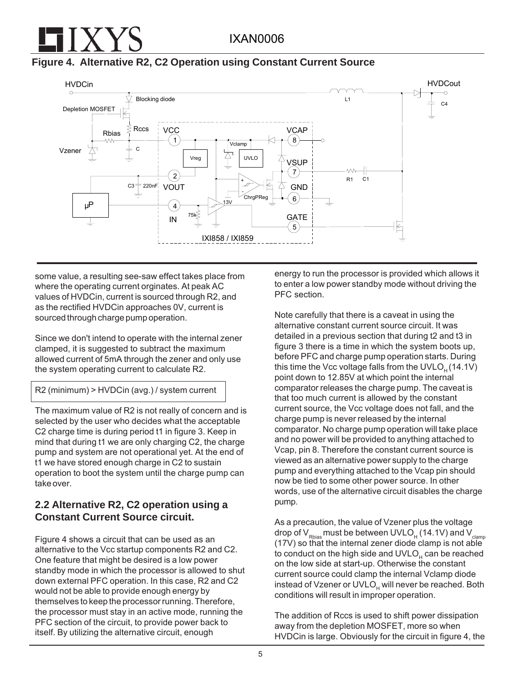**Figure 4. Alternative R2, C2 Operation using Constant Current Source**



some value, a resulting see-saw effect takes place from where the operating current orginates. At peak AC values of HVDCin, current is sourced through R2, and as the rectified HVDCin approaches 0V, current is sourced through charge pump operation.

Since we don't intend to operate with the internal zener clamped, it is suggested to subtract the maximum allowed current of 5mA through the zener and only use the system operating current to calculate R2.

```
R2 (minimum) > HVDCin (avg.) / system current
```
The maximum value of R2 is not really of concern and is selected by the user who decides what the acceptable C2 charge time is during period t1 in figure 3. Keep in mind that during t1 we are only charging C2, the charge pump and system are not operational yet. At the end of t1 we have stored enough charge in C2 to sustain operation to boot the system until the charge pump can take over.

# **2.2 Alternative R2, C2 operation using a Constant Current Source circuit.**

Figure 4 shows a circuit that can be used as an alternative to the Vcc startup components R2 and C2. One feature that might be desired is a low power standby mode in which the processor is allowed to shut down external PFC operation. In this case, R2 and C2 would not be able to provide enough energy by themselves to keep the processor running. Therefore, the processor must stay in an active mode, running the PFC section of the circuit, to provide power back to itself. By utilizing the alternative circuit, enough

energy to run the processor is provided which allows it to enter a low power standby mode without driving the PFC section.

Note carefully that there is a caveat in using the alternative constant current source circuit. It was detailed in a previous section that during t2 and t3 in figure 3 there is a time in which the system boots up, before PFC and charge pump operation starts. During this time the Vcc voltage falls from the UVLO<sub>H</sub> (14.1V) point down to 12.85V at which point the internal comparator releases the charge pump. The caveat is that too much current is allowed by the constant current source, the Vcc voltage does not fall, and the charge pump is never released by the internal comparator. No charge pump operation will take place and no power will be provided to anything attached to Vcap, pin 8. Therefore the constant current source is viewed as an alternative power supply to the charge pump and everything attached to the Vcap pin should now be tied to some other power source. In other words, use of the alternative circuit disables the charge pump.

As a precaution, the value of Vzener plus the voltage drop of  $V_{Rbias}$  must be between UVLO<sub>H</sub> (14.1V) and V<sub>clamp</sub> (17V) so that the internal zener diode clamp is not able to conduct on the high side and  $UVLO<sub>H</sub>$  can be reached on the low side at start-up. Otherwise the constant current source could clamp the internal Vclamp diode instead of Vzener or UVLO<sub>H</sub> will never be reached. Both conditions will result in improper operation.

The addition of Rccs is used to shift power dissipation away from the depletion MOSFET, more so when HVDCin is large. Obviously for the circuit in figure 4, the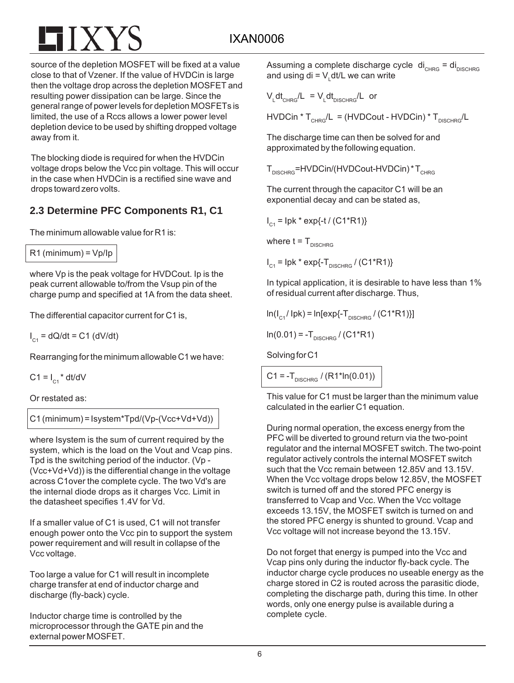source of the depletion MOSFET will be fixed at a value close to that of Vzener. If the value of HVDCin is large then the voltage drop across the depletion MOSFET and resulting power dissipation can be large. Since the general range of power levels for depletion MOSFETs is limited, the use of a Rccs allows a lower power level depletion device to be used by shifting dropped voltage away from it.

The blocking diode is required for when the HVDCin voltage drops below the Vcc pin voltage. This will occur in the case when HVDCin is a rectified sine wave and drops toward zero volts.

# **2.3 Determine PFC Components R1, C1**

The minimum allowable value for R1 is:

 $R1$  (minimum) =  $Vp$ /lp

where Vp is the peak voltage for HVDCout. Ip is the peak current allowable to/from the Vsup pin of the charge pump and specified at 1A from the data sheet.

The differential capacitor current for C1 is,

 $I_{C1}$  = dQ/dt = C1 (dV/dt)

Rearranging for the minimum allowable C1 we have:

 $C1 = I_{c1} * dt/dV$ 

Or restated as:

C1 (minimum) = Isystem\*Tpd/(Vp-(Vcc+Vd+Vd))

where Isystem is the sum of current required by the system, which is the load on the Vout and Vcap pins. Tpd is the switching period of the inductor. (Vp - (Vcc+Vd+Vd)) is the differential change in the voltage across C1over the complete cycle. The two Vd's are the internal diode drops as it charges Vcc. Limit in the datasheet specifies 1.4V for Vd.

If a smaller value of C1 is used, C1 will not transfer enough power onto the Vcc pin to support the system power requirement and will result in collapse of the Vcc voltage.

Too large a value for C1 will result in incomplete charge transfer at end of inductor charge and discharge (fly-back) cycle.

Inductor charge time is controlled by the microprocessor through the GATE pin and the external power MOSFET.

Assuming a complete discharge cycle  $di_{CHRG} = di_{DISCHRG}$ and using di = V<sub>∟</sub>dt/L we can write

$$
V_{L}dt_{CHRG}/L = V_{L}dt_{DISCHRG}/L
$$
 or

 $HVDC$ in \* T<sub>CHRG</sub>/L = (HVDCout - HVDCin) \* T<sub>DISCHRG</sub>/L

The discharge time can then be solved for and approximated by the following equation.

 $T_{DISCHRG}$ =HVDCin/(HVDCout-HVDCin) \* T<sub>CHRG</sub>

The current through the capacitor C1 will be an exponential decay and can be stated as,

I<sub>c1</sub> = Ipk \* exp{-t / (C1\*R1)}

where  $t = T_{\text{DISCHBC}}$ 

 $I_{C1}$  = Ipk \* exp{-T<sub>DISCHRG</sub> / (C1\*R1)}

In typical application, it is desirable to have less than 1% of residual current after discharge. Thus,

 $\ln(I_{\text{C1}} / \text{lpk}) = \ln[\exp\{-T_{\text{DISCHPC}} / (C1*R1)\}]$ 

 $ln(0.01) = -T_{DISCHPG} / (C1*R1)$ 

Solving for C1

 $C1 = -T_{DISCHRG} / (R1*ln(0.01))$ 

This value for C1 must be larger than the minimum value calculated in the earlier C1 equation.

During normal operation, the excess energy from the PFC will be diverted to ground return via the two-point regulator and the internal MOSFET switch. The two-point regulator actively controls the internal MOSFET switch such that the Vcc remain between 12.85V and 13.15V. When the Vcc voltage drops below 12.85V, the MOSFET switch is turned off and the stored PFC energy is transferred to Vcap and Vcc. When the Vcc voltage exceeds 13.15V, the MOSFET switch is turned on and the stored PFC energy is shunted to ground. Vcap and Vcc voltage will not increase beyond the 13.15V.

Do not forget that energy is pumped into the Vcc and Vcap pins only during the inductor fly-back cycle. The inductor charge cycle produces no useable energy as the charge stored in C2 is routed across the parasitic diode, completing the discharge path, during this time. In other words, only one energy pulse is available during a complete cycle.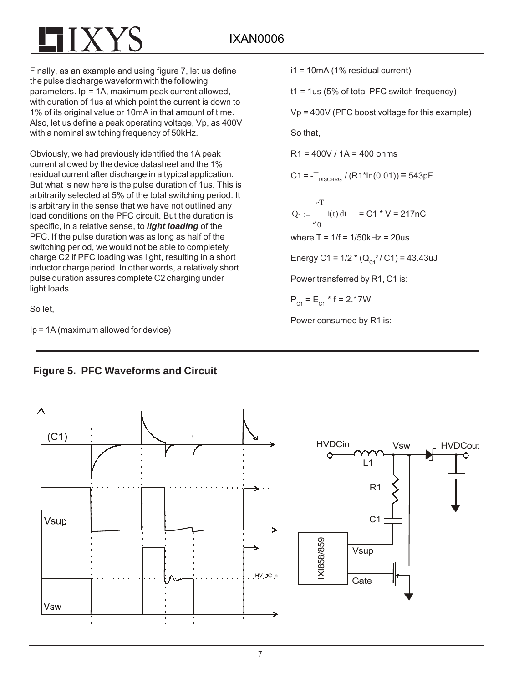Finally, as an example and using figure 7, let us define the pulse discharge waveform with the following parameters. Ip = 1A, maximum peak current allowed, with duration of 1us at which point the current is down to 1% of its original value or 10mA in that amount of time. Also, let us define a peak operating voltage, Vp, as 400V with a nominal switching frequency of 50kHz.

Obviously, we had previously identified the 1A peak current allowed by the device datasheet and the 1% residual current after discharge in a typical application. But what is new here is the pulse duration of 1us. This is arbitrarily selected at 5% of the total switching period. It is arbitrary in the sense that we have not outlined any load conditions on the PFC circuit. But the duration is specific, in a relative sense, to *light loading* of the PFC. If the pulse duration was as long as half of the switching period, we would not be able to completely charge C2 if PFC loading was light, resulting in a short inductor charge period. In other words, a relatively short pulse duration assures complete C2 charging under light loads.

So let,

Ip = 1A (maximum allowed for device)

i1 = 10mA (1% residual current)

t1 = 1us (5% of total PFC switch frequency)

Vp = 400V (PFC boost voltage for this example)

So that,

 $R1 = 400V / 1A = 400$  ohms

C1 =  $-T_{DISCHRG}$  / (R1\*ln(0.01)) = 543pF

 $Q_1$ 0 Τ  $i(t) dt$  $\int$  $:= \int_{0}^{1} i(t) dt = C1 * V = 217 nC$ 

where  $T = 1/f = 1/50$  kHz = 20us.

Energy C1 = 1/2  $*(Q_{C1}^2/C1)$  = 43.43uJ

Power transferred by R1, C1 is:

 $P_{C1} = E_{C1}$  \* f = 2.17W

Power consumed by R1 is:



# **Figure 5. PFC Waveforms and Circuit**